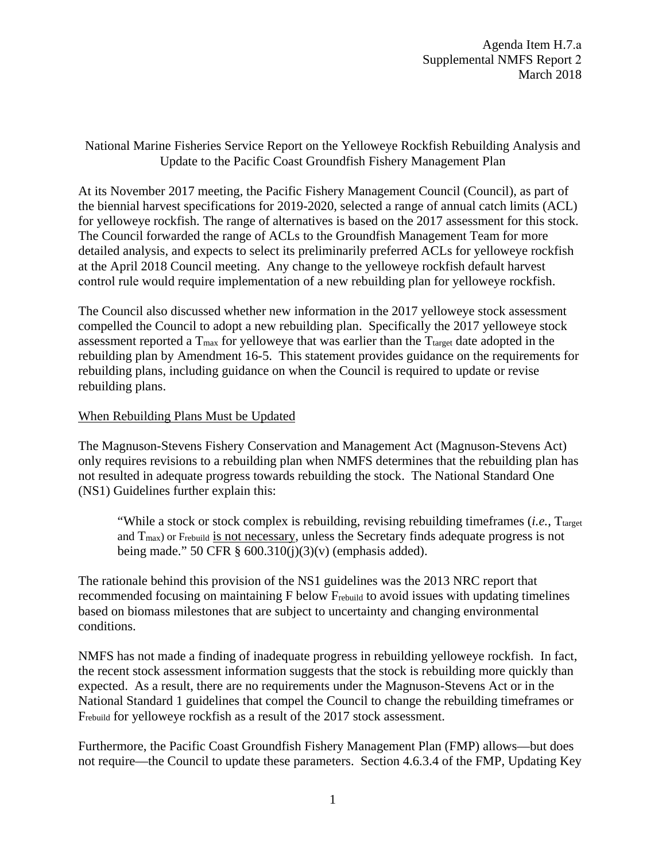Agenda Item H.7.a Supplemental NMFS Report 2 March 2018

National Marine Fisheries Service Report on the Yelloweye Rockfish Rebuilding Analysis and Update to the Pacific Coast Groundfish Fishery Management Plan

At its November 2017 meeting, the Pacific Fishery Management Council (Council), as part of the biennial harvest specifications for 2019-2020, selected a range of annual catch limits (ACL) for yelloweye rockfish. The range of alternatives is based on the 2017 assessment for this stock. The Council forwarded the range of ACLs to the Groundfish Management Team for more detailed analysis, and expects to select its preliminarily preferred ACLs for yelloweye rockfish at the April 2018 Council meeting. Any change to the yelloweye rockfish default harvest control rule would require implementation of a new rebuilding plan for yelloweye rockfish.

The Council also discussed whether new information in the 2017 yelloweye stock assessment compelled the Council to adopt a new rebuilding plan. Specifically the 2017 yelloweye stock assessment reported a  $T_{\text{max}}$  for yelloweye that was earlier than the  $T_{\text{target}}$  date adopted in the rebuilding plan by Amendment 16-5. This statement provides guidance on the requirements for rebuilding plans, including guidance on when the Council is required to update or revise rebuilding plans.

## When Rebuilding Plans Must be Updated

The Magnuson-Stevens Fishery Conservation and Management Act (Magnuson-Stevens Act) only requires revisions to a rebuilding plan when NMFS determines that the rebuilding plan has not resulted in adequate progress towards rebuilding the stock. The National Standard One (NS1) Guidelines further explain this:

"While a stock or stock complex is rebuilding, revising rebuilding timeframes *(i.e.*, T<sub>target</sub>) and  $T_{\text{max}}$ ) or Frebuild is not necessary, unless the Secretary finds adequate progress is not being made." 50 CFR  $\S$  600.310(j)(3)(v) (emphasis added).

The rationale behind this provision of the NS1 guidelines was the 2013 NRC report that recommended focusing on maintaining F below Frebuild to avoid issues with updating timelines based on biomass milestones that are subject to uncertainty and changing environmental conditions.

NMFS has not made a finding of inadequate progress in rebuilding yelloweye rockfish. In fact, the recent stock assessment information suggests that the stock is rebuilding more quickly than expected. As a result, there are no requirements under the Magnuson-Stevens Act or in the National Standard 1 guidelines that compel the Council to change the rebuilding timeframes or Frebuild for yelloweye rockfish as a result of the 2017 stock assessment.

Furthermore, the Pacific Coast Groundfish Fishery Management Plan (FMP) allows—but does not require—the Council to update these parameters. Section 4.6.3.4 of the FMP, Updating Key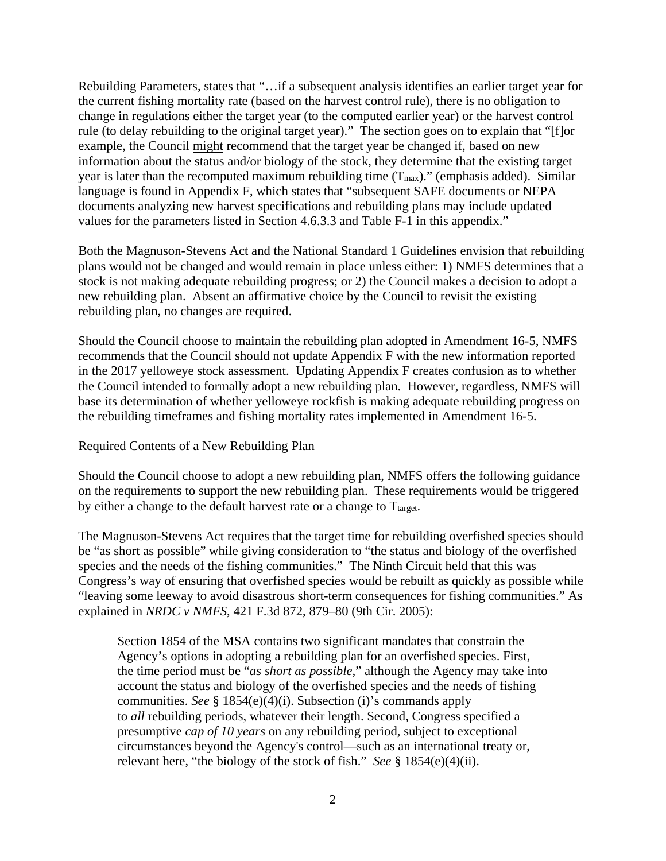Rebuilding Parameters, states that "…if a subsequent analysis identifies an earlier target year for the current fishing mortality rate (based on the harvest control rule), there is no obligation to change in regulations either the target year (to the computed earlier year) or the harvest control rule (to delay rebuilding to the original target year)." The section goes on to explain that "[f]or example, the Council might recommend that the target year be changed if, based on new information about the status and/or biology of the stock, they determine that the existing target year is later than the recomputed maximum rebuilding time  $(T_{max})$ ." (emphasis added). Similar language is found in Appendix F, which states that "subsequent SAFE documents or NEPA documents analyzing new harvest specifications and rebuilding plans may include updated values for the parameters listed in Section 4.6.3.3 and Table F-1 in this appendix."

Both the Magnuson-Stevens Act and the National Standard 1 Guidelines envision that rebuilding plans would not be changed and would remain in place unless either: 1) NMFS determines that a stock is not making adequate rebuilding progress; or 2) the Council makes a decision to adopt a new rebuilding plan. Absent an affirmative choice by the Council to revisit the existing rebuilding plan, no changes are required.

Should the Council choose to maintain the rebuilding plan adopted in Amendment 16-5, NMFS recommends that the Council should not update Appendix F with the new information reported in the 2017 yelloweye stock assessment. Updating Appendix F creates confusion as to whether the Council intended to formally adopt a new rebuilding plan. However, regardless, NMFS will base its determination of whether yelloweye rockfish is making adequate rebuilding progress on the rebuilding timeframes and fishing mortality rates implemented in Amendment 16-5.

## Required Contents of a New Rebuilding Plan

Should the Council choose to adopt a new rebuilding plan, NMFS offers the following guidance on the requirements to support the new rebuilding plan. These requirements would be triggered by either a change to the default harvest rate or a change to  $T_{\text{target}}$ .

The Magnuson-Stevens Act requires that the target time for rebuilding overfished species should be "as short as possible" while giving consideration to "the status and biology of the overfished species and the needs of the fishing communities." The Ninth Circuit held that this was Congress's way of ensuring that overfished species would be rebuilt as quickly as possible while "leaving some leeway to avoid disastrous short-term consequences for fishing communities." As explained in *NRDC v NMFS*, 421 F.3d 872, 879–80 (9th Cir. 2005):

Section 1854 of the MSA contains two significant mandates that constrain the Agency's options in adopting a rebuilding plan for an overfished species. First, the time period must be "*as short as possible,*" although the Agency may take into account the status and biology of the overfished species and the needs of fishing communities. *See* § 1854(e)(4)(i). Subsection (i)'s commands apply to *all* rebuilding periods, whatever their length. Second, Congress specified a presumptive *cap of 10 years* on any rebuilding period, subject to exceptional circumstances beyond the Agency's control—such as an international treaty or, relevant here, "the biology of the stock of fish." *See* § 1854(e)(4)(ii).